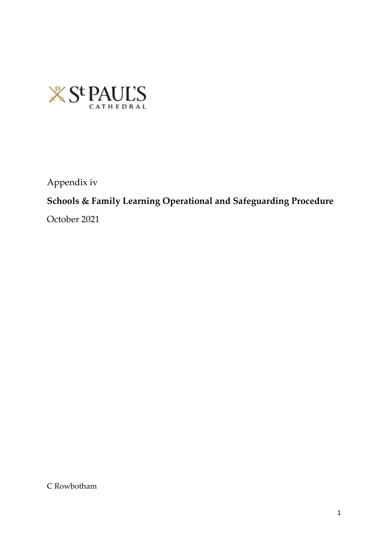

Appendix iv

# **Schools & Family Learning Operational and Safeguarding Procedure**

October 2021

C Rowbotham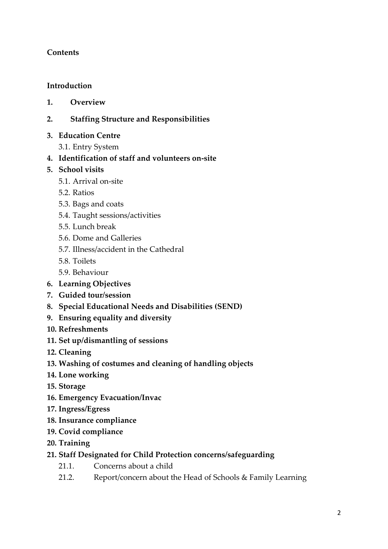### **Contents**

#### **Introduction**

- **1. Overview**
- **2. Staffing Structure and Responsibilities**
- **3. Education Centre**
	- 3.1. Entry System
- **4. Identification of staff and volunteers on-site**
- **5. School visits**
	- 5.1. Arrival on-site
	- 5.2. Ratios
	- 5.3. Bags and coats
	- 5.4. Taught sessions/activities
	- 5.5. Lunch break
	- 5.6. Dome and Galleries
	- 5.7. Illness/accident in the Cathedral
	- 5.8. Toilets
	- 5.9. Behaviour
- **6. Learning Objectives**
- **7. Guided tour/session**
- **8. Special Educational Needs and Disabilities (SEND)**
- **9. Ensuring equality and diversity**
- **10. Refreshments**
- **11. Set up/dismantling of sessions**
- **12. Cleaning**
- **13. Washing of costumes and cleaning of handling objects**
- **14. Lone working**
- **15. Storage**
- **16. Emergency Evacuation/Invac**
- **17. Ingress/Egress**
- **18. Insurance compliance**
- **19. Covid compliance**
- **20. Training**
- **21. Staff Designated for Child Protection concerns/safeguarding** 
	- 21.1. Concerns about a child
	- 21.2. Report/concern about the Head of Schools & Family Learning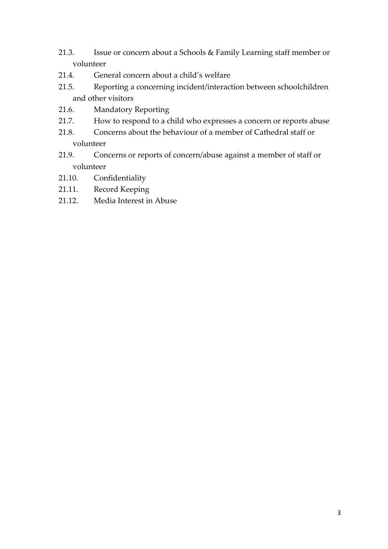- 21.3. Issue or concern about a Schools & Family Learning staff member or volunteer
- 21.4. General concern about a child's welfare
- 21.5. Reporting a concerning incident/interaction between schoolchildren and other visitors
- 21.6. Mandatory Reporting
- 21.7. How to respond to a child who expresses a concern or reports abuse
- 21.8. Concerns about the behaviour of a member of Cathedral staff or volunteer
- 21.9. Concerns or reports of concern/abuse against a member of staff or volunteer
- 21.10. Confidentiality
- 21.11. Record Keeping
- 21.12. Media Interest in Abuse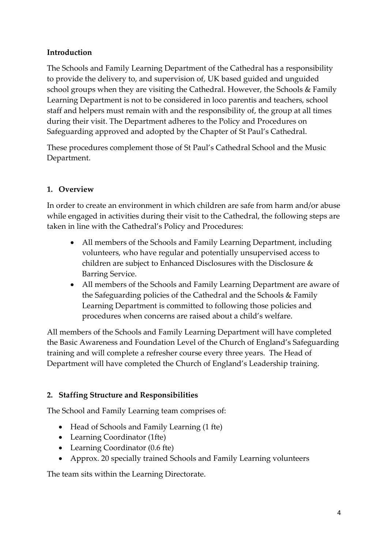### **Introduction**

The Schools and Family Learning Department of the Cathedral has a responsibility to provide the delivery to, and supervision of, UK based guided and unguided school groups when they are visiting the Cathedral. However, the Schools & Family Learning Department is not to be considered in loco parentis and teachers, school staff and helpers must remain with and the responsibility of, the group at all times during their visit. The Department adheres to the Policy and Procedures on Safeguarding approved and adopted by the Chapter of St Paul's Cathedral.

These procedures complement those of St Paul's Cathedral School and the Music Department.

### **1. Overview**

In order to create an environment in which children are safe from harm and/or abuse while engaged in activities during their visit to the Cathedral, the following steps are taken in line with the Cathedral's Policy and Procedures:

- All members of the Schools and Family Learning Department, including volunteers, who have regular and potentially unsupervised access to children are subject to Enhanced Disclosures with the Disclosure & Barring Service.
- All members of the Schools and Family Learning Department are aware of the Safeguarding policies of the Cathedral and the Schools & Family Learning Department is committed to following those policies and procedures when concerns are raised about a child's welfare.

All members of the Schools and Family Learning Department will have completed the Basic Awareness and Foundation Level of the Church of England's Safeguarding training and will complete a refresher course every three years. The Head of Department will have completed the Church of England's Leadership training.

### **2. Staffing Structure and Responsibilities**

The School and Family Learning team comprises of:

- Head of Schools and Family Learning (1 fte)
- Learning Coordinator (1fte)
- Learning Coordinator (0.6 fte)
- Approx. 20 specially trained Schools and Family Learning volunteers

The team sits within the Learning Directorate.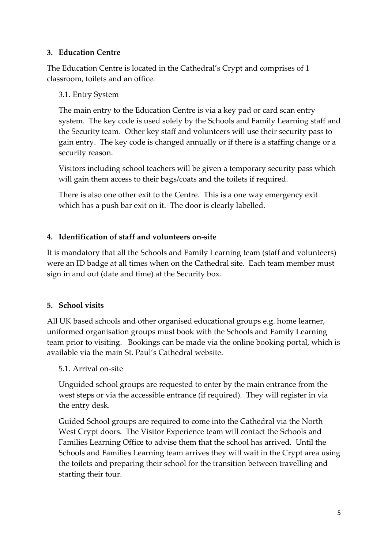#### **3. Education Centre**

The Education Centre is located in the Cathedral's Crypt and comprises of 1 classroom, toilets and an office.

#### 3.1. Entry System

The main entry to the Education Centre is via a key pad or card scan entry system. The key code is used solely by the Schools and Family Learning staff and the Security team. Other key staff and volunteers will use their security pass to gain entry. The key code is changed annually or if there is a staffing change or a security reason.

Visitors including school teachers will be given a temporary security pass which will gain them access to their bags/coats and the toilets if required.

There is also one other exit to the Centre. This is a one way emergency exit which has a push bar exit on it. The door is clearly labelled.

#### **4. Identification of staff and volunteers on-site**

It is mandatory that all the Schools and Family Learning team (staff and volunteers) were an ID badge at all times when on the Cathedral site. Each team member must sign in and out (date and time) at the Security box.

#### **5. School visits**

All UK based schools and other organised educational groups e.g. home learner, uniformed organisation groups must book with the Schools and Family Learning team prior to visiting. Bookings can be made via the online booking portal, which is available via the main St. Paul's Cathedral website.

#### 5.1. Arrival on-site

Unguided school groups are requested to enter by the main entrance from the west steps or via the accessible entrance (if required). They will register in via the entry desk.

Guided School groups are required to come into the Cathedral via the North West Crypt doors. The Visitor Experience team will contact the Schools and Families Learning Office to advise them that the school has arrived. Until the Schools and Families Learning team arrives they will wait in the Crypt area using the toilets and preparing their school for the transition between travelling and starting their tour.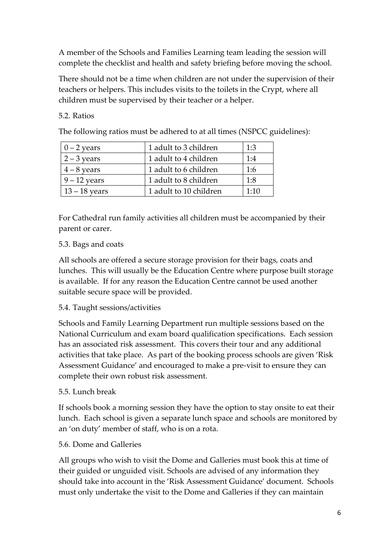A member of the Schools and Families Learning team leading the session will complete the checklist and health and safety briefing before moving the school.

There should not be a time when children are not under the supervision of their teachers or helpers. This includes visits to the toilets in the Crypt, where all children must be supervised by their teacher or a helper.

### 5.2. Ratios

The following ratios must be adhered to at all times (NSPCC guidelines):

| $0 - 2$ years   | 1 adult to 3 children  | 1:3  |
|-----------------|------------------------|------|
| $2 - 3$ years   | 1 adult to 4 children  | 1:4  |
| $4 - 8$ years   | 1 adult to 6 children  | 1:6  |
| $9 - 12$ years  | 1 adult to 8 children  | 1:8  |
| $13 - 18$ years | 1 adult to 10 children | 1:10 |

For Cathedral run family activities all children must be accompanied by their parent or carer.

### 5.3. Bags and coats

All schools are offered a secure storage provision for their bags, coats and lunches. This will usually be the Education Centre where purpose built storage is available. If for any reason the Education Centre cannot be used another suitable secure space will be provided.

### 5.4. Taught sessions/activities

Schools and Family Learning Department run multiple sessions based on the National Curriculum and exam board qualification specifications. Each session has an associated risk assessment. This covers their tour and any additional activities that take place. As part of the booking process schools are given 'Risk Assessment Guidance' and encouraged to make a pre-visit to ensure they can complete their own robust risk assessment.

### 5.5. Lunch break

If schools book a morning session they have the option to stay onsite to eat their lunch. Each school is given a separate lunch space and schools are monitored by an 'on duty' member of staff, who is on a rota.

#### 5.6. Dome and Galleries

All groups who wish to visit the Dome and Galleries must book this at time of their guided or unguided visit. Schools are advised of any information they should take into account in the 'Risk Assessment Guidance' document. Schools must only undertake the visit to the Dome and Galleries if they can maintain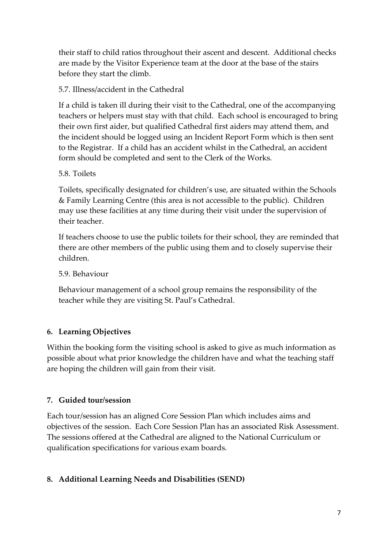their staff to child ratios throughout their ascent and descent. Additional checks are made by the Visitor Experience team at the door at the base of the stairs before they start the climb.

### 5.7. Illness/accident in the Cathedral

If a child is taken ill during their visit to the Cathedral, one of the accompanying teachers or helpers must stay with that child. Each school is encouraged to bring their own first aider, but qualified Cathedral first aiders may attend them, and the incident should be logged using an Incident Report Form which is then sent to the Registrar. If a child has an accident whilst in the Cathedral, an accident form should be completed and sent to the Clerk of the Works.

### 5.8. Toilets

Toilets, specifically designated for children's use, are situated within the Schools & Family Learning Centre (this area is not accessible to the public). Children may use these facilities at any time during their visit under the supervision of their teacher.

If teachers choose to use the public toilets for their school, they are reminded that there are other members of the public using them and to closely supervise their children.

5.9. Behaviour

Behaviour management of a school group remains the responsibility of the teacher while they are visiting St. Paul's Cathedral.

### **6. Learning Objectives**

Within the booking form the visiting school is asked to give as much information as possible about what prior knowledge the children have and what the teaching staff are hoping the children will gain from their visit.

### **7. Guided tour/session**

Each tour/session has an aligned Core Session Plan which includes aims and objectives of the session. Each Core Session Plan has an associated Risk Assessment. The sessions offered at the Cathedral are aligned to the National Curriculum or qualification specifications for various exam boards.

# **8. Additional Learning Needs and Disabilities (SEND)**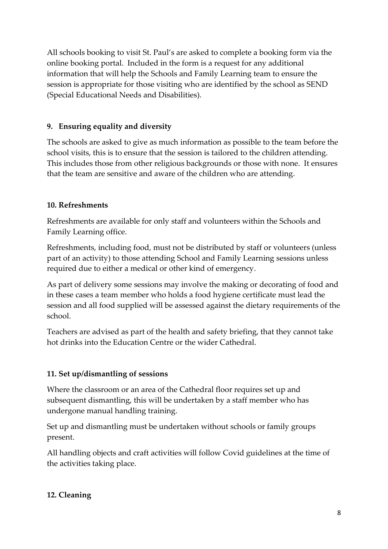All schools booking to visit St. Paul's are asked to complete a booking form via the online booking portal. Included in the form is a request for any additional information that will help the Schools and Family Learning team to ensure the session is appropriate for those visiting who are identified by the school as SEND (Special Educational Needs and Disabilities).

### **9. Ensuring equality and diversity**

The schools are asked to give as much information as possible to the team before the school visits, this is to ensure that the session is tailored to the children attending. This includes those from other religious backgrounds or those with none. It ensures that the team are sensitive and aware of the children who are attending.

### **10. Refreshments**

Refreshments are available for only staff and volunteers within the Schools and Family Learning office.

Refreshments, including food, must not be distributed by staff or volunteers (unless part of an activity) to those attending School and Family Learning sessions unless required due to either a medical or other kind of emergency.

As part of delivery some sessions may involve the making or decorating of food and in these cases a team member who holds a food hygiene certificate must lead the session and all food supplied will be assessed against the dietary requirements of the school.

Teachers are advised as part of the health and safety briefing, that they cannot take hot drinks into the Education Centre or the wider Cathedral.

#### **11. Set up/dismantling of sessions**

Where the classroom or an area of the Cathedral floor requires set up and subsequent dismantling, this will be undertaken by a staff member who has undergone manual handling training.

Set up and dismantling must be undertaken without schools or family groups present.

All handling objects and craft activities will follow Covid guidelines at the time of the activities taking place.

#### **12. Cleaning**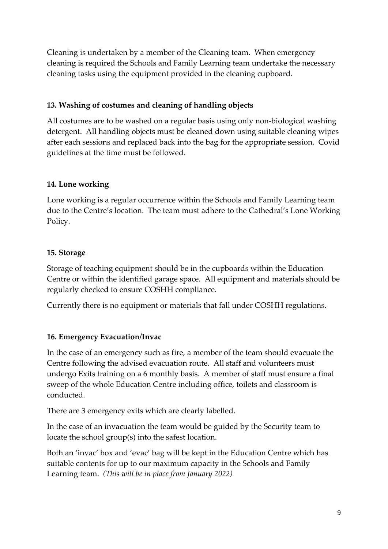Cleaning is undertaken by a member of the Cleaning team. When emergency cleaning is required the Schools and Family Learning team undertake the necessary cleaning tasks using the equipment provided in the cleaning cupboard.

### **13. Washing of costumes and cleaning of handling objects**

All costumes are to be washed on a regular basis using only non-biological washing detergent. All handling objects must be cleaned down using suitable cleaning wipes after each sessions and replaced back into the bag for the appropriate session. Covid guidelines at the time must be followed.

# **14. Lone working**

Lone working is a regular occurrence within the Schools and Family Learning team due to the Centre's location. The team must adhere to the Cathedral's Lone Working Policy.

# **15. Storage**

Storage of teaching equipment should be in the cupboards within the Education Centre or within the identified garage space. All equipment and materials should be regularly checked to ensure COSHH compliance.

Currently there is no equipment or materials that fall under COSHH regulations.

# **16. Emergency Evacuation/Invac**

In the case of an emergency such as fire, a member of the team should evacuate the Centre following the advised evacuation route. All staff and volunteers must undergo Exits training on a 6 monthly basis. A member of staff must ensure a final sweep of the whole Education Centre including office, toilets and classroom is conducted.

There are 3 emergency exits which are clearly labelled.

In the case of an invacuation the team would be guided by the Security team to locate the school group(s) into the safest location.

Both an 'invac' box and 'evac' bag will be kept in the Education Centre which has suitable contents for up to our maximum capacity in the Schools and Family Learning team. *(This will be in place from January 2022)*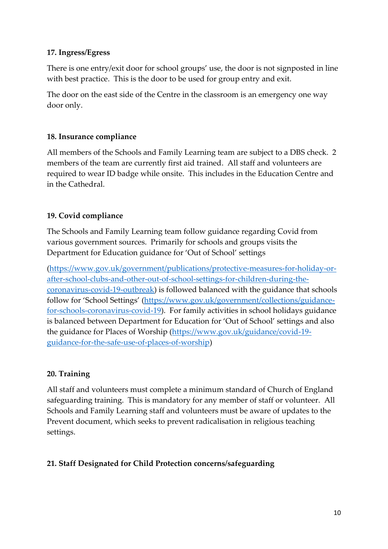#### **17. Ingress/Egress**

There is one entry/exit door for school groups' use, the door is not signposted in line with best practice. This is the door to be used for group entry and exit.

The door on the east side of the Centre in the classroom is an emergency one way door only.

### **18. Insurance compliance**

All members of the Schools and Family Learning team are subject to a DBS check. 2 members of the team are currently first aid trained. All staff and volunteers are required to wear ID badge while onsite. This includes in the Education Centre and in the Cathedral.

# **19. Covid compliance**

The Schools and Family Learning team follow guidance regarding Covid from various government sources. Primarily for schools and groups visits the Department for Education guidance for 'Out of School' settings

[\(https://www.gov.uk/government/publications/protective-measures-for-holiday-or](https://www.gov.uk/government/publications/protective-measures-for-holiday-or-after-school-clubs-and-other-out-of-school-settings-for-children-during-the-coronavirus-covid-19-outbreak)[after-school-clubs-and-other-out-of-school-settings-for-children-during-the](https://www.gov.uk/government/publications/protective-measures-for-holiday-or-after-school-clubs-and-other-out-of-school-settings-for-children-during-the-coronavirus-covid-19-outbreak)[coronavirus-covid-19-outbreak\)](https://www.gov.uk/government/publications/protective-measures-for-holiday-or-after-school-clubs-and-other-out-of-school-settings-for-children-during-the-coronavirus-covid-19-outbreak) is followed balanced with the guidance that schools follow for 'School Settings' [\(https://www.gov.uk/government/collections/guidance](https://www.gov.uk/government/collections/guidance-for-schools-coronavirus-covid-19)[for-schools-coronavirus-covid-19\)](https://www.gov.uk/government/collections/guidance-for-schools-coronavirus-covid-19). For family activities in school holidays guidance is balanced between Department for Education for 'Out of School' settings and also the guidance for Places of Worship [\(https://www.gov.uk/guidance/covid-19](https://www.gov.uk/guidance/covid-19-guidance-for-the-safe-use-of-places-of-worship) [guidance-for-the-safe-use-of-places-of-worship\)](https://www.gov.uk/guidance/covid-19-guidance-for-the-safe-use-of-places-of-worship)

### **20. Training**

All staff and volunteers must complete a minimum standard of Church of England safeguarding training. This is mandatory for any member of staff or volunteer. All Schools and Family Learning staff and volunteers must be aware of updates to the Prevent document, which seeks to prevent radicalisation in religious teaching settings.

### **21. Staff Designated for Child Protection concerns/safeguarding**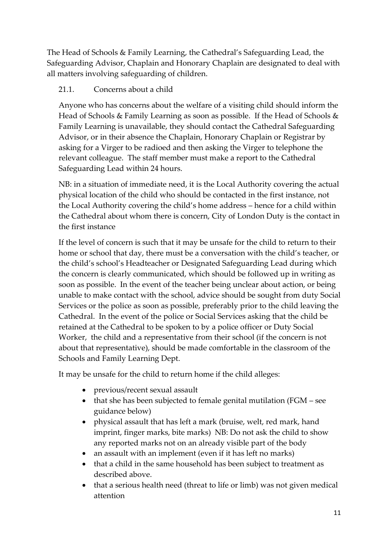The Head of Schools & Family Learning, the Cathedral's Safeguarding Lead, the Safeguarding Advisor, Chaplain and Honorary Chaplain are designated to deal with all matters involving safeguarding of children.

### 21.1. Concerns about a child

Anyone who has concerns about the welfare of a visiting child should inform the Head of Schools & Family Learning as soon as possible. If the Head of Schools & Family Learning is unavailable, they should contact the Cathedral Safeguarding Advisor, or in their absence the Chaplain, Honorary Chaplain or Registrar by asking for a Virger to be radioed and then asking the Virger to telephone the relevant colleague. The staff member must make a report to the Cathedral Safeguarding Lead within 24 hours.

NB: in a situation of immediate need, it is the Local Authority covering the actual physical location of the child who should be contacted in the first instance, not the Local Authority covering the child's home address – hence for a child within the Cathedral about whom there is concern, City of London Duty is the contact in the first instance

If the level of concern is such that it may be unsafe for the child to return to their home or school that day, there must be a conversation with the child's teacher, or the child's school's Headteacher or Designated Safeguarding Lead during which the concern is clearly communicated, which should be followed up in writing as soon as possible. In the event of the teacher being unclear about action, or being unable to make contact with the school, advice should be sought from duty Social Services or the police as soon as possible, preferably prior to the child leaving the Cathedral. In the event of the police or Social Services asking that the child be retained at the Cathedral to be spoken to by a police officer or Duty Social Worker, the child and a representative from their school (if the concern is not about that representative), should be made comfortable in the classroom of the Schools and Family Learning Dept.

It may be unsafe for the child to return home if the child alleges:

- previous/recent sexual assault
- that she has been subjected to female genital mutilation (FGM see guidance below)
- physical assault that has left a mark (bruise, welt, red mark, hand imprint, finger marks, bite marks) NB: Do not ask the child to show any reported marks not on an already visible part of the body
- an assault with an implement (even if it has left no marks)
- that a child in the same household has been subject to treatment as described above.
- that a serious health need (threat to life or limb) was not given medical attention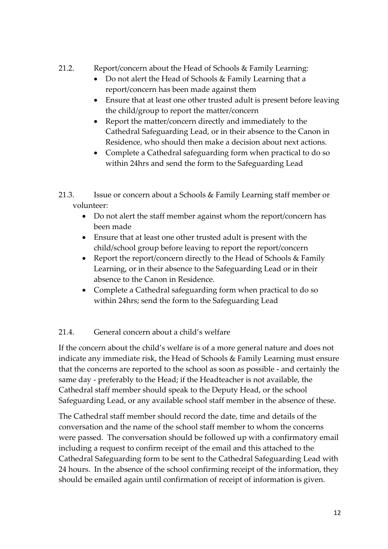### 21.2. Report/concern about the Head of Schools & Family Learning:

- Do not alert the Head of Schools & Family Learning that a report/concern has been made against them
- Ensure that at least one other trusted adult is present before leaving the child/group to report the matter/concern
- Report the matter/concern directly and immediately to the Cathedral Safeguarding Lead, or in their absence to the Canon in Residence, who should then make a decision about next actions.
- Complete a Cathedral safeguarding form when practical to do so within 24hrs and send the form to the Safeguarding Lead
- 21.3. Issue or concern about a Schools & Family Learning staff member or volunteer:
	- Do not alert the staff member against whom the report/concern has been made
	- Ensure that at least one other trusted adult is present with the child/school group before leaving to report the report/concern
	- Report the report/concern directly to the Head of Schools & Family Learning, or in their absence to the Safeguarding Lead or in their absence to the Canon in Residence.
	- Complete a Cathedral safeguarding form when practical to do so within 24hrs; send the form to the Safeguarding Lead

# 21.4. General concern about a child's welfare

If the concern about the child's welfare is of a more general nature and does not indicate any immediate risk, the Head of Schools & Family Learning must ensure that the concerns are reported to the school as soon as possible - and certainly the same day - preferably to the Head; if the Headteacher is not available, the Cathedral staff member should speak to the Deputy Head, or the school Safeguarding Lead, or any available school staff member in the absence of these.

The Cathedral staff member should record the date, time and details of the conversation and the name of the school staff member to whom the concerns were passed. The conversation should be followed up with a confirmatory email including a request to confirm receipt of the email and this attached to the Cathedral Safeguarding form to be sent to the Cathedral Safeguarding Lead with 24 hours. In the absence of the school confirming receipt of the information, they should be emailed again until confirmation of receipt of information is given.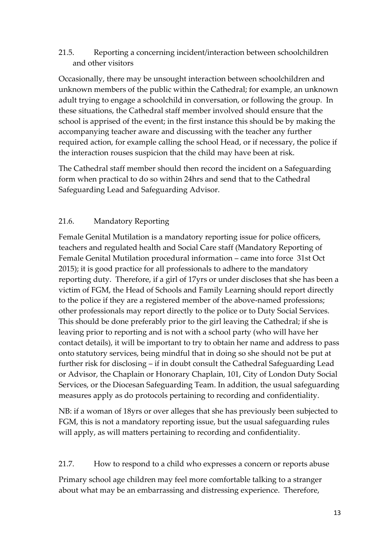#### 21.5. Reporting a concerning incident/interaction between schoolchildren and other visitors

Occasionally, there may be unsought interaction between schoolchildren and unknown members of the public within the Cathedral; for example, an unknown adult trying to engage a schoolchild in conversation, or following the group. In these situations, the Cathedral staff member involved should ensure that the school is apprised of the event; in the first instance this should be by making the accompanying teacher aware and discussing with the teacher any further required action, for example calling the school Head, or if necessary, the police if the interaction rouses suspicion that the child may have been at risk.

The Cathedral staff member should then record the incident on a Safeguarding form when practical to do so within 24hrs and send that to the Cathedral Safeguarding Lead and Safeguarding Advisor.

### 21.6. Mandatory Reporting

Female Genital Mutilation is a mandatory reporting issue for police officers, teachers and regulated health and Social Care staff (Mandatory Reporting of Female Genital Mutilation procedural information – came into force 31st Oct 2015); it is good practice for all professionals to adhere to the mandatory reporting duty. Therefore, if a girl of 17yrs or under discloses that she has been a victim of FGM, the Head of Schools and Family Learning should report directly to the police if they are a registered member of the above-named professions; other professionals may report directly to the police or to Duty Social Services. This should be done preferably prior to the girl leaving the Cathedral; if she is leaving prior to reporting and is not with a school party (who will have her contact details), it will be important to try to obtain her name and address to pass onto statutory services, being mindful that in doing so she should not be put at further risk for disclosing – if in doubt consult the Cathedral Safeguarding Lead or Advisor, the Chaplain or Honorary Chaplain, 101, City of London Duty Social Services, or the Diocesan Safeguarding Team. In addition, the usual safeguarding measures apply as do protocols pertaining to recording and confidentiality.

NB: if a woman of 18yrs or over alleges that she has previously been subjected to FGM, this is not a mandatory reporting issue, but the usual safeguarding rules will apply, as will matters pertaining to recording and confidentiality.

#### 21.7. How to respond to a child who expresses a concern or reports abuse

Primary school age children may feel more comfortable talking to a stranger about what may be an embarrassing and distressing experience. Therefore,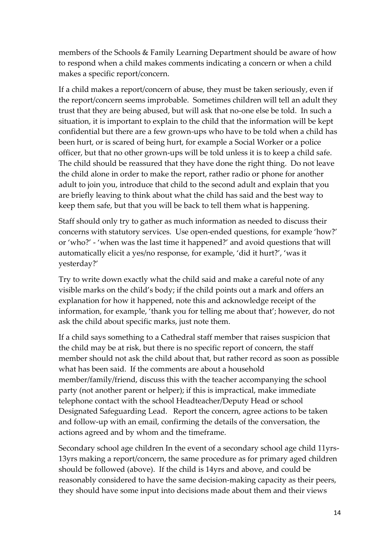members of the Schools & Family Learning Department should be aware of how to respond when a child makes comments indicating a concern or when a child makes a specific report/concern.

If a child makes a report/concern of abuse, they must be taken seriously, even if the report/concern seems improbable. Sometimes children will tell an adult they trust that they are being abused, but will ask that no-one else be told. In such a situation, it is important to explain to the child that the information will be kept confidential but there are a few grown-ups who have to be told when a child has been hurt, or is scared of being hurt, for example a Social Worker or a police officer, but that no other grown-ups will be told unless it is to keep a child safe. The child should be reassured that they have done the right thing. Do not leave the child alone in order to make the report, rather radio or phone for another adult to join you, introduce that child to the second adult and explain that you are briefly leaving to think about what the child has said and the best way to keep them safe, but that you will be back to tell them what is happening.

Staff should only try to gather as much information as needed to discuss their concerns with statutory services. Use open-ended questions, for example 'how?' or 'who?' - 'when was the last time it happened?' and avoid questions that will automatically elicit a yes/no response, for example, 'did it hurt?', 'was it yesterday?'

Try to write down exactly what the child said and make a careful note of any visible marks on the child's body; if the child points out a mark and offers an explanation for how it happened, note this and acknowledge receipt of the information, for example, 'thank you for telling me about that'; however, do not ask the child about specific marks, just note them.

If a child says something to a Cathedral staff member that raises suspicion that the child may be at risk, but there is no specific report of concern, the staff member should not ask the child about that, but rather record as soon as possible what has been said. If the comments are about a household member/family/friend, discuss this with the teacher accompanying the school party (not another parent or helper); if this is impractical, make immediate telephone contact with the school Headteacher/Deputy Head or school Designated Safeguarding Lead. Report the concern, agree actions to be taken and follow-up with an email, confirming the details of the conversation, the actions agreed and by whom and the timeframe.

Secondary school age children In the event of a secondary school age child 11yrs-13yrs making a report/concern, the same procedure as for primary aged children should be followed (above). If the child is 14yrs and above, and could be reasonably considered to have the same decision-making capacity as their peers, they should have some input into decisions made about them and their views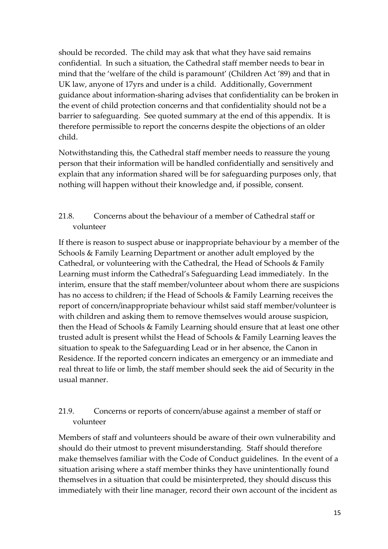should be recorded. The child may ask that what they have said remains confidential. In such a situation, the Cathedral staff member needs to bear in mind that the 'welfare of the child is paramount' (Children Act '89) and that in UK law, anyone of 17yrs and under is a child. Additionally, Government guidance about information-sharing advises that confidentiality can be broken in the event of child protection concerns and that confidentiality should not be a barrier to safeguarding. See quoted summary at the end of this appendix. It is therefore permissible to report the concerns despite the objections of an older child.

Notwithstanding this, the Cathedral staff member needs to reassure the young person that their information will be handled confidentially and sensitively and explain that any information shared will be for safeguarding purposes only, that nothing will happen without their knowledge and, if possible, consent.

### 21.8. Concerns about the behaviour of a member of Cathedral staff or volunteer

If there is reason to suspect abuse or inappropriate behaviour by a member of the Schools & Family Learning Department or another adult employed by the Cathedral, or volunteering with the Cathedral, the Head of Schools & Family Learning must inform the Cathedral's Safeguarding Lead immediately. In the interim, ensure that the staff member/volunteer about whom there are suspicions has no access to children; if the Head of Schools & Family Learning receives the report of concern/inappropriate behaviour whilst said staff member/volunteer is with children and asking them to remove themselves would arouse suspicion, then the Head of Schools & Family Learning should ensure that at least one other trusted adult is present whilst the Head of Schools & Family Learning leaves the situation to speak to the Safeguarding Lead or in her absence, the Canon in Residence. If the reported concern indicates an emergency or an immediate and real threat to life or limb, the staff member should seek the aid of Security in the usual manner.

### 21.9. Concerns or reports of concern/abuse against a member of staff or volunteer

Members of staff and volunteers should be aware of their own vulnerability and should do their utmost to prevent misunderstanding. Staff should therefore make themselves familiar with the Code of Conduct guidelines. In the event of a situation arising where a staff member thinks they have unintentionally found themselves in a situation that could be misinterpreted, they should discuss this immediately with their line manager, record their own account of the incident as